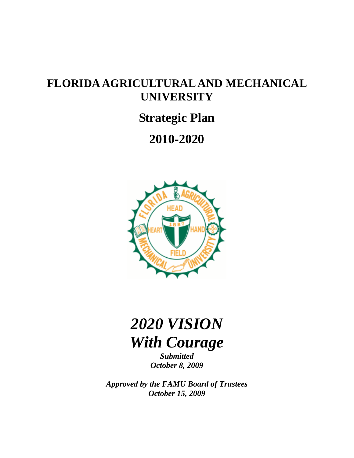## **FLORIDA AGRICULTURAL AND MECHANICAL UNIVERSITY**

## **Strategic Plan**

## **2010-2020**



# *2020 VISION With Courage*

*Submitted October 8, 2009* 

*Approved by the FAMU Board of Trustees October 15, 2009*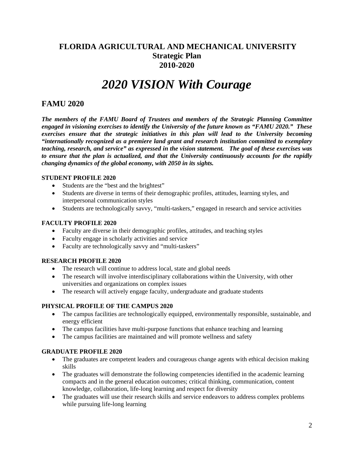## **FLORIDA AGRICULTURAL AND MECHANICAL UNIVERSITY Strategic Plan 2010-2020**

## *2020 VISION With Courage*

### **FAMU 2020**

*The members of the FAMU Board of Trustees and members of the Strategic Planning Committee engaged in visioning exercises to identify the University of the future known as "FAMU 2020." These exercises ensure that the strategic initiatives in this plan will lead to the University becoming "internationally recognized as a premiere land grant and research institution committed to exemplary teaching, research, and service" as expressed in the vision statement. The goal of these exercises was to ensure that the plan is actualized, and that the University continuously accounts for the rapidly changing dynamics of the global economy, with 2050 in its sights.* 

#### **STUDENT PROFILE 2020**

- Students are the "best and the brightest"
- Students are diverse in terms of their demographic profiles, attitudes, learning styles, and interpersonal communication styles
- Students are technologically savvy, "multi-taskers," engaged in research and service activities

#### **FACULTY PROFILE 2020**

- Faculty are diverse in their demographic profiles, attitudes, and teaching styles
- Faculty engage in scholarly activities and service
- Faculty are technologically savvy and "multi-taskers"

#### **RESEARCH PROFILE 2020**

- The research will continue to address local, state and global needs
- The research will involve interdisciplinary collaborations within the University, with other universities and organizations on complex issues
- The research will actively engage faculty, undergraduate and graduate students

#### **PHYSICAL PROFILE OF THE CAMPUS 2020**

- The campus facilities are technologically equipped, environmentally responsible, sustainable, and energy efficient
- The campus facilities have multi-purpose functions that enhance teaching and learning
- The campus facilities are maintained and will promote wellness and safety

#### **GRADUATE PROFILE 2020**

- The graduates are competent leaders and courageous change agents with ethical decision making skills
- The graduates will demonstrate the following competencies identified in the academic learning compacts and in the general education outcomes; critical thinking, communication, content knowledge, collaboration, life-long learning and respect for diversity
- The graduates will use their research skills and service endeavors to address complex problems while pursuing life-long learning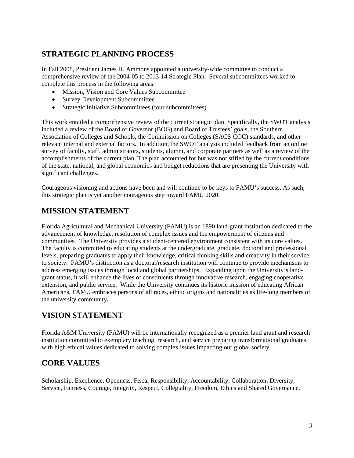## **STRATEGIC PLANNING PROCESS**

In Fall 2008, President James H. Ammons appointed a university-wide committee to conduct a comprehensive review of the 2004-05 to 2013-14 Strategic Plan. Several subcommittees worked to complete this process in the following areas:

- Mission, Vision and Core Values Subcommittee
- Survey Development Subcommittee
- Strategic Initiative Subcommittees (four subcommittees)

This work entailed a comprehensive review of the current strategic plan. Specifically, the SWOT analysis included a review of the Board of Governor (BOG) and Board of Trustees' goals, the Southern Association of Colleges and Schools, the Commission on Colleges (SACS-COC) standards, and other relevant internal and external factors. In addition, the SWOT analysis included feedback from an online survey of faculty, staff, administrators, students, alumni, and corporate partners as well as a review of the accomplishments of the current plan. The plan accounted for but was not stifled by the current conditions of the state, national, and global economies and budget reductions that are presenting the University with significant challenges.

Courageous visioning and actions have been and will continue to be keys to FAMU's success. As such, this strategic plan is yet another courageous step toward FAMU 2020.

## **MISSION STATEMENT**

Florida Agricultural and Mechanical University (FAMU) is an 1890 land-grant institution dedicated to the advancement of knowledge, resolution of complex issues and the empowerment of citizens and communities. The University provides a student-centered environment consistent with its core values. The faculty is committed to educating students at the undergraduate, graduate, doctoral and professional levels, preparing graduates to apply their knowledge, critical thinking skills and creativity in their service to society. FAMU's distinction as a doctoral/research institution will continue to provide mechanisms to address emerging issues through local and global partnerships. Expanding upon the University's landgrant status, it will enhance the lives of constituents through innovative research, engaging cooperative extension, and public service. While the University continues its historic mission of educating African Americans, FAMU embraces persons of all races, ethnic origins and nationalities as life-long members of the university community**.**

## **VISION STATEMENT**

Florida A&M University (FAMU) will be internationally recognized as a premier land grant and research institution committed to exemplary teaching, research, and service preparing transformational graduates with high ethical values dedicated to solving complex issues impacting our global society.

## **CORE VALUES**

Scholarship, Excellence, Openness, Fiscal Responsibility, Accountability, Collaboration, Diversity, Service, Fairness, Courage, Integrity, Respect, Collegiality, Freedom, Ethics and Shared Governance.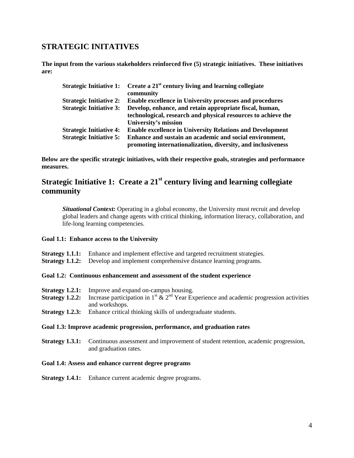### **STRATEGIC INITATIVES**

**The input from the various stakeholders reinforced five (5) strategic initiatives. These initiatives are:** 

|                                | Strategic Initiative 1: Create a $21st$ century living and learning collegiate<br>community                              |
|--------------------------------|--------------------------------------------------------------------------------------------------------------------------|
| <b>Strategic Initiative 2:</b> | <b>Enable excellence in University processes and procedures</b>                                                          |
| <b>Strategic Initiative 3:</b> | Develop, enhance, and retain appropriate fiscal, human,<br>technological, research and physical resources to achieve the |
|                                | University's mission                                                                                                     |
| <b>Strategic Initiative 4:</b> | <b>Enable excellence in University Relations and Development</b>                                                         |
| <b>Strategic Initiative 5:</b> | Enhance and sustain an academic and social environment,<br>promoting internationalization, diversity, and inclusiveness  |

**Below are the specific strategic initiatives, with their respective goals, strategies and performance measures.** 

## **Strategic Initiative 1: Create a 21st century living and learning collegiate community**

*Situational Context:* Operating in a global economy, the University must recruit and develop global leaders and change agents with critical thinking, information literacy, collaboration, and life-long learning competencies.

#### **Goal 1.1: Enhance access to the University**

- **Strategy 1.1.1:** Enhance and implement effective and targeted recruitment strategies.
- **Strategy 1.1.2:** Develop and implement comprehensive distance learning programs.

#### **Goal 1.2: Continuous enhancement and assessment of the student experience**

- **Strategy 1.2.1:** Improve and expand on-campus housing.
- **Strategy 1.2.2:** Increase participation in  $1^{st}$   $\&$   $2^{nd}$  Year Experience and academic progression activities and workshops.
- **Strategy 1.2.3:** Enhance critical thinking skills of undergraduate students.

#### **Goal 1.3: Improve academic progression, performance, and graduation rates**

**Strategy 1.3.1:** Continuous assessment and improvement of student retention, academic progression, and graduation rates.

#### **Goal 1.4: Assess and enhance current degree programs**

**Strategy 1.4.1:** Enhance current academic degree programs.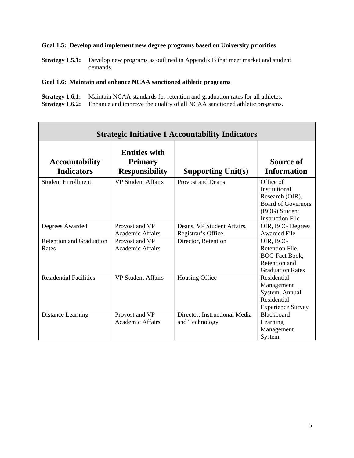### **Goal 1.5: Develop and implement new degree programs based on University priorities**

**Strategy 1.5.1:** Develop new programs as outlined in Appendix B that meet market and student demands.

### **Goal 1.6: Maintain and enhance NCAA sanctioned athletic programs**

| <b>Strategy 1.6.1:</b> Maintain NCAA standards for retention and graduation rates for all athletes. |
|-----------------------------------------------------------------------------------------------------|
| <b>Strategy 1.6.2:</b> Enhance and improve the quality of all NCAA sanctioned athletic programs.    |

| <b>Strategic Initiative 1 Accountability Indicators</b> |                                                                 |                                                  |                                                                                                                        |
|---------------------------------------------------------|-----------------------------------------------------------------|--------------------------------------------------|------------------------------------------------------------------------------------------------------------------------|
| <b>Accountability</b><br><b>Indicators</b>              | <b>Entities with</b><br><b>Primary</b><br><b>Responsibility</b> | <b>Supporting Unit(s)</b>                        | Source of<br><b>Information</b>                                                                                        |
| <b>Student Enrollment</b>                               | <b>VP Student Affairs</b>                                       | <b>Provost and Deans</b>                         | Office of<br>Institutional<br>Research (OIR),<br><b>Board of Governors</b><br>(BOG) Student<br><b>Instruction File</b> |
| Degrees Awarded                                         | Provost and VP<br>Academic Affairs                              | Deans, VP Student Affairs,<br>Registrar's Office | OIR, BOG Degrees<br><b>Awarded File</b>                                                                                |
| <b>Retention and Graduation</b><br>Rates                | Provost and VP<br><b>Academic Affairs</b>                       | Director, Retention                              | OIR, BOG<br>Retention File,<br><b>BOG Fact Book,</b><br>Retention and<br><b>Graduation Rates</b>                       |
| <b>Residential Facilities</b>                           | <b>VP Student Affairs</b>                                       | Housing Office                                   | Residential<br>Management<br>System, Annual<br>Residential<br><b>Experience Survey</b>                                 |
| Distance Learning                                       | Provost and VP<br><b>Academic Affairs</b>                       | Director, Instructional Media<br>and Technology  | <b>Blackboard</b><br>Learning<br>Management<br>System                                                                  |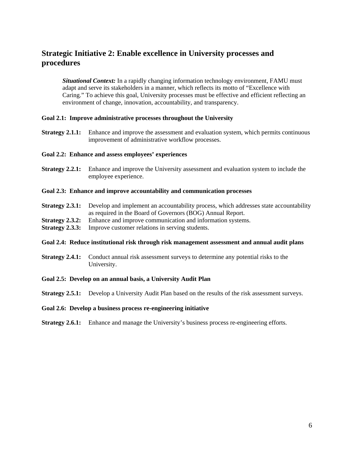## **Strategic Initiative 2: Enable excellence in University processes and procedures**

*Situational Context:* In a rapidly changing information technology environment, FAMU must adapt and serve its stakeholders in a manner, which reflects its motto of "Excellence with Caring." To achieve this goal, University processes must be effective and efficient reflecting an environment of change, innovation, accountability, and transparency.

#### **Goal 2.1: Improve administrative processes throughout the University**

**Strategy 2.1.1:** Enhance and improve the assessment and evaluation system, which permits continuous improvement of administrative workflow processes.

#### **Goal 2.2: Enhance and assess employees' experiences**

**Strategy 2.2.1:** Enhance and improve the University assessment and evaluation system to include the employee experience.

#### **Goal 2.3: Enhance and improve accountability and communication processes**

- **Strategy 2.3.1:** Develop and implement an accountability process, which addresses state accountability as required in the Board of Governors (BOG) Annual Report.
- **Strategy 2.3.2:** Enhance and improve communication and information systems.
- **Strategy 2.3.3:** Improve customer relations in serving students.

#### **Goal 2.4: Reduce institutional risk through risk management assessment and annual audit plans**

**Strategy 2.4.1:** Conduct annual risk assessment surveys to determine any potential risks to the University.

#### **Goal 2.5: Develop on an annual basis, a University Audit Plan**

**Strategy 2.5.1:** Develop a University Audit Plan based on the results of the risk assessment surveys.

#### **Goal 2.6: Develop a business process re-engineering initiative**

**Strategy 2.6.1:** Enhance and manage the University's business process re-engineering efforts.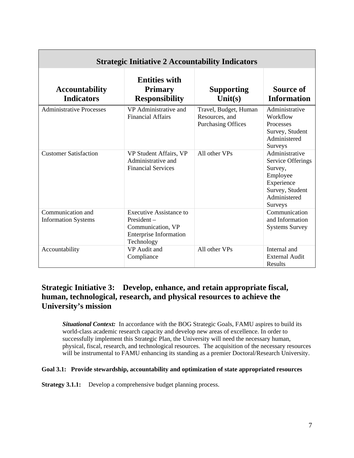| <b>Strategic Initiative 2 Accountability Indicators</b> |                                                                                                           |                                                                      |                                                                                                                               |
|---------------------------------------------------------|-----------------------------------------------------------------------------------------------------------|----------------------------------------------------------------------|-------------------------------------------------------------------------------------------------------------------------------|
| <b>Accountability</b><br><b>Indicators</b>              | <b>Entities with</b><br><b>Primary</b><br><b>Responsibility</b>                                           | <b>Supporting</b><br>Unit(s)                                         | Source of<br><b>Information</b>                                                                                               |
| <b>Administrative Processes</b>                         | VP Administrative and<br><b>Financial Affairs</b>                                                         | Travel, Budget, Human<br>Resources, and<br><b>Purchasing Offices</b> | Administrative<br>Workflow<br>Processes<br>Survey, Student<br>Administered<br><b>Surveys</b>                                  |
| <b>Customer Satisfaction</b>                            | VP Student Affairs, VP<br>Administrative and<br><b>Financial Services</b>                                 | All other VPs                                                        | Administrative<br><b>Service Offerings</b><br>Survey,<br>Employee<br>Experience<br>Survey, Student<br>Administered<br>Surveys |
| Communication and<br><b>Information Systems</b>         | Executive Assistance to<br>President-<br>Communication, VP<br><b>Enterprise Information</b><br>Technology |                                                                      | Communication<br>and Information<br><b>Systems Survey</b>                                                                     |
| Accountability                                          | VP Audit and<br>Compliance                                                                                | All other VPs                                                        | Internal and<br><b>External Audit</b><br>Results                                                                              |

## **Strategic Initiative 3: Develop, enhance, and retain appropriate fiscal, human, technological, research, and physical resources to achieve the University's mission**

*Situational Context:* In accordance with the BOG Strategic Goals, FAMU aspires to build its world-class academic research capacity and develop new areas of excellence. In order to successfully implement this Strategic Plan, the University will need the necessary human, physical, fiscal, research, and technological resources. The acquisition of the necessary resources will be instrumental to FAMU enhancing its standing as a premier Doctoral/Research University.

#### **Goal 3.1: Provide stewardship, accountability and optimization of state appropriated resources**

**Strategy 3.1.1:** Develop a comprehensive budget planning process.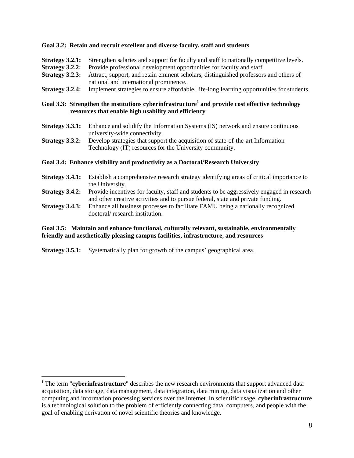#### **Goal 3.2:****Retain and recruit excellent and diverse faculty, staff and students**

- **Strategy 3.2.1:** Strengthen salaries and support for faculty and staff to nationally competitive levels.
- **Strategy 3.2.2:** Provide professional development opportunities for faculty and staff.
- **Strategy 3.2.3:** Attract, support, and retain eminent scholars, distinguished professors and others of national and international prominence.
- **Strategy 3.2.4:** Implement strategies to ensure affordable, life-long learning opportunities for students.

#### **Goal 3.3: Strengthen the institutions cyberinfrastructure<sup>1</sup> and provide cost effective technology resources that enable high usability and efficiency**

- **Strategy 3.3.1:** Enhance and solidify the Information Systems (IS) network and ensure continuous university-wide connectivity.
- **Strategy 3.3.2:** Develop strategies that support the acquisition of state-of-the-art Information Technology (IT) resources for the University community.

#### **Goal 3.4: Enhance visibility and productivity as a Doctoral/Research University**

- **Strategy 3.4.1:** Establish a comprehensive research strategy identifying areas of critical importance to the University.
- **Strategy 3.4.2:** Provide incentives for faculty, staff and students to be aggressively engaged in research and other creative activities and to pursue federal, state and private funding.
- **Strategy 3.4.3:** Enhance all business processes to facilitate FAMU being a nationally recognized doctoral/ research institution.

#### **Goal 3.5: Maintain and enhance functional, culturally relevant, sustainable, environmentally friendly and aesthetically pleasing campus facilities, infrastructure, and resources**

**Strategy 3.5.1:** Systematically plan for growth of the campus' geographical area.

 $\overline{a}$ 

<sup>&</sup>lt;sup>1</sup> The term "**cyberinfrastructure**" describes the new research environments that support advanced data acquisition, data storage, data management, data integration, data mining, data visualization and other computing and information processing services over the Internet. In scientific usage, **cyberinfrastructure** is a technological solution to the problem of efficiently connecting data, computers, and people with the goal of enabling derivation of novel scientific theories and knowledge.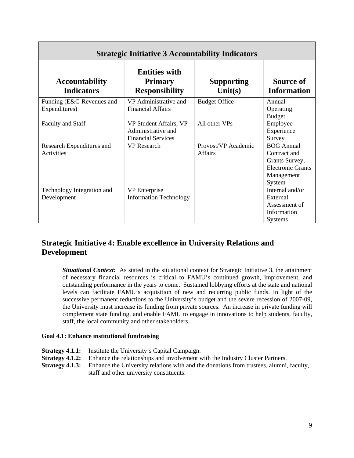| <b>Strategic Initiative 3 Accountability Indicators</b> |                                                                           |                                 |                                                                                                         |
|---------------------------------------------------------|---------------------------------------------------------------------------|---------------------------------|---------------------------------------------------------------------------------------------------------|
| <b>Accountability</b><br><b>Indicators</b>              | <b>Entities with</b><br><b>Primary</b><br><b>Responsibility</b>           | <b>Supporting</b><br>Unit $(s)$ | Source of<br><b>Information</b>                                                                         |
| Funding (E&G Revenues and<br>Expenditures)              | VP Administrative and<br><b>Financial Affairs</b>                         | <b>Budget Office</b>            | Annual<br>Operating<br><b>Budget</b>                                                                    |
| <b>Faculty and Staff</b>                                | VP Student Affairs, VP<br>Administrative and<br><b>Financial Services</b> | All other VPs                   | Employee<br>Experience<br>Survey                                                                        |
| Research Expenditures and<br>Activities                 | <b>VP</b> Research                                                        | Provost/VP Academic<br>Affairs  | <b>BOG</b> Annual<br>Contract and<br>Grants Survey,<br><b>Electronic Grants</b><br>Management<br>System |
| Technology Integration and<br>Development               | <b>VP</b> Enterprise<br><b>Information Technology</b>                     |                                 | Internal and/or<br>External<br>Assessment of<br>Information<br><b>Systems</b>                           |

## **Strategic Initiative 4: Enable excellence in University Relations and Development**

*Situational Context:* As stated in the situational context for Strategic Initiative 3, the attainment of necessary financial resources is critical to FAMU's continued growth, improvement, and outstanding performance in the years to come. Sustained lobbying efforts at the state and national levels can facilitate FAMU's acquisition of new and recurring public funds. In light of the successive permanent reductions to the University's budget and the severe recession of 2007-09, the University must increase its funding from private sources. An increase in private funding will complement state funding, and enable FAMU to engage in innovations to help students, faculty, staff, the local community and other stakeholders.

#### **Goal 4.1: Enhance institutional fundraising**

- **Strategy 4.1.1:** Institute the University's Capital Campaign.
- **Strategy 4.1.2:** Enhance the relationships and involvement with the Industry Cluster Partners.
- **Strategy 4.1.3:** Enhance the University relations with and the donations from trustees, alumni, faculty, staff and other university constituents.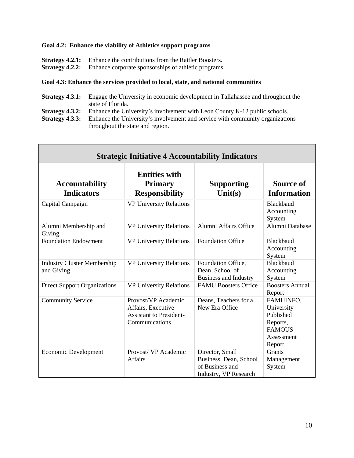#### **Goal 4.2: Enhance the viability of Athletics support programs**

Г

- 
- **Strategy 4.2.1:** Enhance the contributions from the Rattler Boosters.<br>**Strategy 4.2.2:** Enhance corporate sponsorships of athletic programs. Enhance corporate sponsorships of athletic programs.

#### **Goal 4.3: Enhance the services provided to local, state, and national communities**

- **Strategy 4.3.1:** Engage the University in economic development in Tallahassee and throughout the state of Florida.
- **Strategy 4.3.2:** Enhance the University's involvement with Leon County K-12 public schools.<br>**Strategy 4.3.3:** Enhance the University's involvement and service with community organization
- Enhance the University's involvement and service with community organizations throughout the state and region.

| <b>Strategic Initiative 4 Accountability Indicators</b> |                                                                                               |                                                                                       |                                                                                           |
|---------------------------------------------------------|-----------------------------------------------------------------------------------------------|---------------------------------------------------------------------------------------|-------------------------------------------------------------------------------------------|
| <b>Accountability</b><br><b>Indicators</b>              | <b>Entities with</b><br><b>Primary</b><br><b>Responsibility</b>                               | <b>Supporting</b><br>Unit $(s)$                                                       | Source of<br><b>Information</b>                                                           |
| Capital Campaign                                        | <b>VP University Relations</b>                                                                |                                                                                       | Blackbaud<br>Accounting<br>System                                                         |
| Alumni Membership and<br>Giving                         | <b>VP University Relations</b>                                                                | Alumni Affairs Office                                                                 | Alumni Database                                                                           |
| <b>Foundation Endowment</b>                             | <b>VP University Relations</b>                                                                | <b>Foundation Office</b>                                                              | Blackbaud<br>Accounting<br>System                                                         |
| <b>Industry Cluster Membership</b><br>and Giving        | <b>VP University Relations</b>                                                                | Foundation Office,<br>Dean, School of<br><b>Business and Industry</b>                 | Blackbaud<br>Accounting<br>System                                                         |
| <b>Direct Support Organizations</b>                     | <b>VP University Relations</b>                                                                | <b>FAMU Boosters Office</b>                                                           | <b>Boosters Annual</b><br>Report                                                          |
| <b>Community Service</b>                                | Provost/VP Academic<br>Affairs, Executive<br><b>Assistant to President-</b><br>Communications | Deans, Teachers for a<br>New Era Office                                               | FAMUINFO,<br>University<br>Published<br>Reports,<br><b>FAMOUS</b><br>Assessment<br>Report |
| <b>Economic Development</b>                             | Provost/ VP Academic<br><b>Affairs</b>                                                        | Director, Small<br>Business, Dean, School<br>of Business and<br>Industry, VP Research | Grants<br>Management<br>System                                                            |

 $\overline{\phantom{0}}$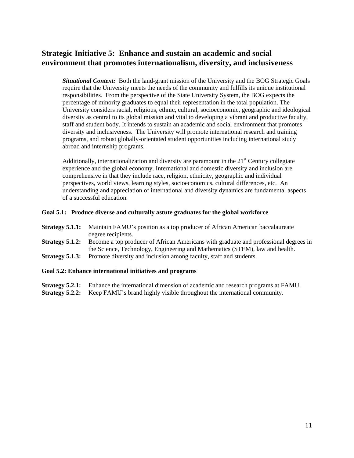## **Strategic Initiative 5: Enhance and sustain an academic and social environment that promotes internationalism, diversity, and inclusiveness**

*Situational Context:* Both the land-grant mission of the University and the BOG Strategic Goals require that the University meets the needs of the community and fulfills its unique institutional responsibilities. From the perspective of the State University System, the BOG expects the percentage of minority graduates to equal their representation in the total population. The University considers racial, religious, ethnic, cultural, socioeconomic, geographic and ideological diversity as central to its global mission and vital to developing a vibrant and productive faculty, staff and student body. It intends to sustain an academic and social environment that promotes diversity and inclusiveness. The University will promote international research and training programs, and robust globally-orientated student opportunities including international study abroad and internship programs.

Additionally, internationalization and diversity are paramount in the  $21<sup>st</sup>$  Century collegiate experience and the global economy. International and domestic diversity and inclusion are comprehensive in that they include race, religion, ethnicity, geographic and individual perspectives, world views, learning styles, socioeconomics, cultural differences, etc. An understanding and appreciation of international and diversity dynamics are fundamental aspects of a successful education.

#### **Goal 5.1:****Produce diverse and culturally astute graduates for the global workforce**

- **Strategy 5.1.1:** Maintain FAMU's position as a top producer of African American baccalaureate degree recipients.
- **Strategy 5.1.2:** Become a top producer of African Americans with graduate and professional degrees in the Science, Technology, Engineering and Mathematics (STEM), law and health.
- **Strategy 5.1.3:** Promote diversity and inclusion among faculty, staff and students.

#### **Goal 5.2: Enhance international initiatives and programs**

- **Strategy 5.2.1:** Enhance the international dimension of academic and research programs at FAMU.
- **Strategy 5.2.2:** Keep FAMU's brand highly visible throughout the international community.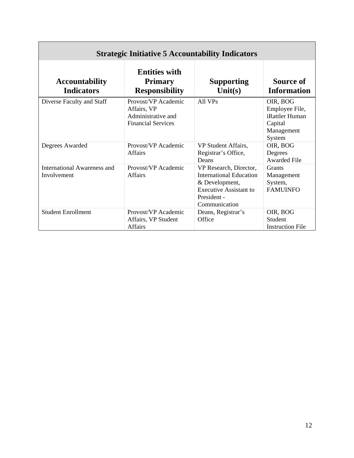| <b>Strategic Initiative 5 Accountability Indicators</b> |                                                                                       |                                                                                                                                      |                                                                                 |
|---------------------------------------------------------|---------------------------------------------------------------------------------------|--------------------------------------------------------------------------------------------------------------------------------------|---------------------------------------------------------------------------------|
| <b>Accountability</b><br><b>Indicators</b>              | <b>Entities with</b><br><b>Primary</b><br><b>Responsibility</b>                       | <b>Supporting</b><br>Unit(s)                                                                                                         | Source of<br><b>Information</b>                                                 |
| Diverse Faculty and Staff                               | Provost/VP Academic<br>Affairs, VP<br>Administrative and<br><b>Financial Services</b> | All VPs                                                                                                                              | OIR, BOG<br>Employee File,<br>iRattler Human<br>Capital<br>Management<br>System |
| Degrees Awarded                                         | Provost/VP Academic<br><b>Affairs</b>                                                 | VP Student Affairs,<br>Registrar's Office,<br>Deans                                                                                  | OIR, BOG<br>Degrees<br>Awarded File                                             |
| International Awareness and<br>Involvement              | Provost/VP Academic<br><b>Affairs</b>                                                 | VP Research, Director,<br>International Education<br>& Development,<br><b>Executive Assistant to</b><br>President -<br>Communication | <b>Grants</b><br>Management<br>System,<br><b>FAMUINFO</b>                       |
| <b>Student Enrollment</b>                               | Provost/VP Academic<br>Affairs, VP Student<br><b>Affairs</b>                          | Deans, Registrar's<br>Office                                                                                                         | OIR, BOG<br>Student<br><b>Instruction File</b>                                  |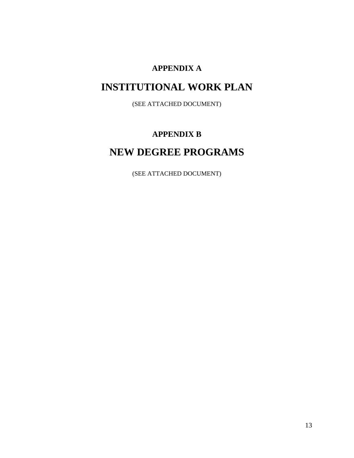## **APPENDIX A**

## **INSTITUTIONAL WORK PLAN**

(SEE ATTACHED DOCUMENT)

## **APPENDIX B**

## **NEW DEGREE PROGRAMS**

(SEE ATTACHED DOCUMENT)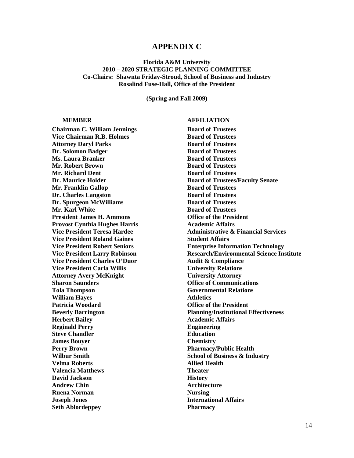#### **APPENDIX C**

#### **Florida A&M University 2010 – 2020 STRATEGIC PLANNING COMMITTEE Co-Chairs: Shawnta Friday-Stroud, School of Business and Industry Rosalind Fuse-Hall, Office of the President**

**(Spring and Fall 2009)** 

**Chairman C. William Jennings Board of Trustees Vice Chairman R.B. Holmes Board of Trustees** Attorney Daryl Parks Board of Trustees **Dr. Solomon Badger** Board of Trustees **Ms. Laura Branker Strustees Board of Trustees Mr. Robert Brown Board of Trustees Mr. Richard Dent Community Community Board of Trustees Mr. Franklin Gallop Board of Trustees Dr. Charles Langston Board of Trustees Dr. Spurgeon McWilliams** Board of Trustees **Mr. Karl White Board of Trustees** President James H. Ammons **Office of the President Provost Cynthia Hughes Harris 1988 12.13 Academic Affairs Vice President Roland Gaines** Student Affairs **Vice President Charles O'Duor** Audit & Compliance **Vice President Carla Willis Community Constructions** University Relations **Attorney Avery McKnight University Attorney Sharon Saunders Communications Office of Communications Tola Thompson Governmental Relations William Hayes** Athletics Patricia Woodard **Patricia Woodard Patricia Woodard Office of the President Herbert Bailey**  Academic Affairs **Reginald Perry Engineering Steve Chandler**  Education **James Bouyer Chemistry Perry Brown Pharmacy/Public Health Wilbur Smith School of Business & Industry Velma Roberts Allied Health Valencia Matthews Theater David Jackson History** Andrew Chin **Architecture Ruena Norman** Nursing **Nursing Joseph Jones** International Affairs **Seth Ablordeppey Pharmacy** 

#### **MEMBER AFFILIATION**

**Dr. Maurice Holder**  Board of Trustees/Faculty Senate **Vice President Teresa Hardee**  Administrative & Financial Services **Vice President Robert Seniors Enterprise Information Technology Vice President Larry Robinson Research/Environmental Science Institute Beverly Barrington Planning/Institutional Effectiveness**